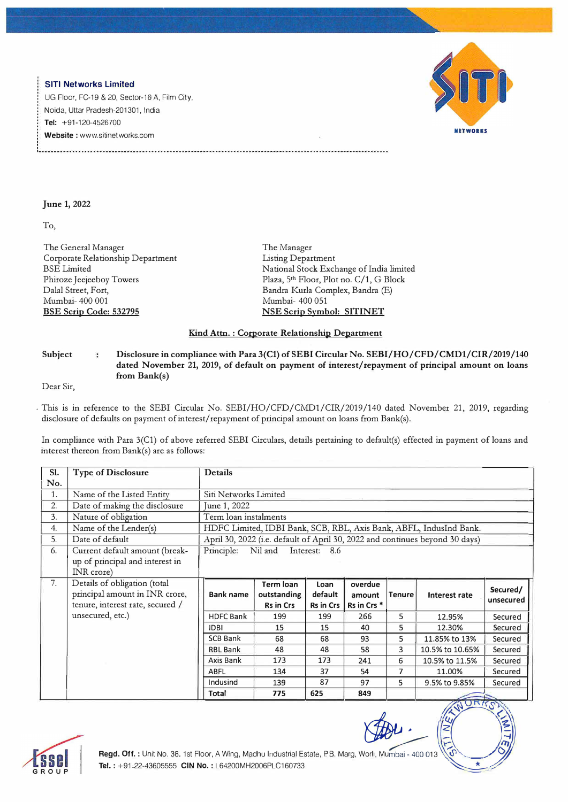## **SITI Networks Limited**

UG Floor, FC-19 & 20, Sector-16 A, Film City, Noida, Uttar Pradesh-201301, India **Tel:** +91-120-4526700 **Website :** www.sitinetworks.com



## **June 1, 2022**

To,

The General Manager Corporate Relationship Department BSE Limited Phiroze Jeejeeboy Towers Dalal Street, Fort, Mumbai- 400 001 **BSE Scrip Code: 532795** 

The Manager Listing Department National Stock Exchange of lndia limited Plaza, 5<sup>th</sup> Floor, Plot no. C/1, G Block Bandra Kurla Complex, Bandra (E) Mumbai- 400 051 **NSE Scrip Symbol: SITINET** 

## **Kind Attn. : Corporate Relationship Department**

## Subject : Disclosure in compliance with Para 3(C1) of SEBI Circular No. SEBI/HO/CFD/CMD1/CIR/2019/140 **dated November 21, 2019, of default on payment of interest/repayment of principal amount on loans from Bank(s)**

Dear Sir,

This is in reference to the SEBI Circular No. SEBI/HO/CFD/CMD1/CIR/2019/140 dated November 21, 2019, regarding disclosure of defaults on payment of interest/repayment of principal amount on loans from Bank(s).

In compliance with Para 3(C1) of above referred SEBI Circulars, details pertaining to default(s) effected in payment of loans and interest thereon from Bank(s) are as follows:

| SI.<br>No. | <b>Type of Disclosure</b>                     | <b>Details</b>                                                               |                  |                 |                        |        |                 |                       |
|------------|-----------------------------------------------|------------------------------------------------------------------------------|------------------|-----------------|------------------------|--------|-----------------|-----------------------|
| 1.         | Name of the Listed Entity                     | Siti Networks Limited                                                        |                  |                 |                        |        |                 |                       |
| 2.         | Date of making the disclosure                 | June 1, 2022                                                                 |                  |                 |                        |        |                 |                       |
| 3.         | Nature of obligation                          | Term loan instalments                                                        |                  |                 |                        |        |                 |                       |
| 4.         | Name of the Lender(s)                         | HDFC Limited, IDBI Bank, SCB, RBL, Axis Bank, ABFL, IndusInd Bank.           |                  |                 |                        |        |                 |                       |
| 5.         | Date of default                               | April 30, 2022 (i.e. default of April 30, 2022 and continues beyond 30 days) |                  |                 |                        |        |                 |                       |
| 6.         | Current default amount (break-                | Nil and<br>Principle:<br>Interest: 8.6                                       |                  |                 |                        |        |                 |                       |
|            | up of principal and interest in<br>INR crore) |                                                                              |                  |                 |                        |        |                 |                       |
| 7.         | Details of obligation (total                  |                                                                              | <b>Term loan</b> |                 |                        |        |                 |                       |
|            | principal amount in INR crore,                | <b>Bank name</b>                                                             | outstanding      | Loan<br>default | overdue<br>amount      | Tenure | Interest rate   | Secured/<br>unsecured |
|            | tenure, interest rate, secured /              |                                                                              | <b>Rs in Crs</b> | Rs in Crs       | Rs in Crs <sup>*</sup> |        |                 |                       |
|            | unsecured, etc.)                              | <b>HDFC Bank</b>                                                             | 199              | 199             | 266                    | 5      | 12.95%          | Secured               |
|            |                                               | <b>IDBI</b>                                                                  | 15               | 15              | 40                     | 5      | 12.30%          | Secured               |
|            |                                               | <b>SCB Bank</b>                                                              | 68               | 68              | 93                     | 5      | 11.85% to 13%   | Secured               |
|            |                                               | RBL Bank                                                                     | 48               | 48              | 58                     | 3      | 10.5% to 10.65% | Secured               |
|            |                                               | Axis Bank                                                                    | 173              | 173             | 241                    | 6      | 10.5% to 11.5%  | Secured               |
|            |                                               | ABFL                                                                         | 134              | 37              | 54                     | 7      | 11.00%          | Secured               |
|            |                                               | Indusind                                                                     | 139              | 87              | 97                     | 5      | 9.5% to 9.85%   | Secured               |
|            |                                               | Total                                                                        | 775              | 625             | 849                    |        |                 |                       |
|            |                                               |                                                                              |                  |                 |                        |        | NORKO           |                       |



*�-* : *<,,,* 

 $\mathbb{R}$  $-$ / $-$ / $-$ / $-$ / $-$